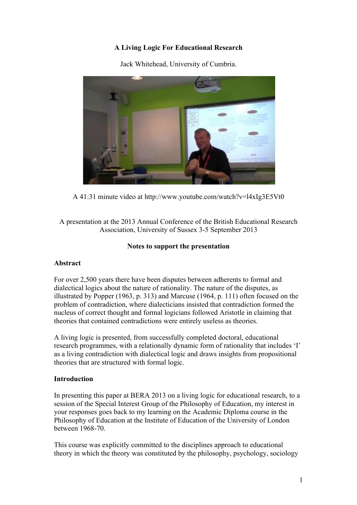# **A Living Logic For Educational Research**



Jack Whitehead, University of Cumbria.

A 41:31 minute video at http://www.youtube.com/watch?v=l4xIg3E5Vt0

A presentation at the 2013 Annual Conference of the British Educational Research Association, University of Sussex 3-5 September 2013

### **Notes to support the presentation**

## **Abstract**

For over 2,500 years there have been disputes between adherents to formal and dialectical logics about the nature of rationality. The nature of the disputes, as illustrated by Popper (1963, p. 313) and Marcuse (1964, p. 111) often focused on the problem of contradiction, where dialecticians insisted that contradiction formed the nucleus of correct thought and formal logicians followed Aristotle in claiming that theories that contained contradictions were entirely useless as theories.

A living logic is presented, from successfully completed doctoral, educational research programmes, with a relationally dynamic form of rationality that includes 'I' as a living contradiction with dialectical logic and draws insights from propositional theories that are structured with formal logic.

## **Introduction**

In presenting this paper at BERA 2013 on a living logic for educational research, to a session of the Special Interest Group of the Philosophy of Education, my interest in your responses goes back to my learning on the Academic Diploma course in the Philosophy of Education at the Institute of Education of the University of London between 1968-70.

This course was explicitly committed to the disciplines approach to educational theory in which the theory was constituted by the philosophy, psychology, sociology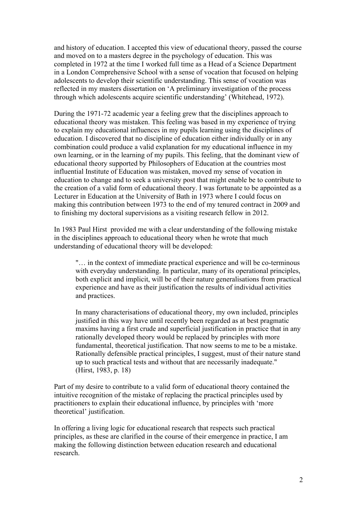and history of education. I accepted this view of educational theory, passed the course and moved on to a masters degree in the psychology of education. This was completed in 1972 at the time I worked full time as a Head of a Science Department in a London Comprehensive School with a sense of vocation that focused on helping adolescents to develop their scientific understanding. This sense of vocation was reflected in my masters dissertation on 'A preliminary investigation of the process through which adolescents acquire scientific understanding' (Whitehead, 1972).

During the 1971-72 academic year a feeling grew that the disciplines approach to educational theory was mistaken. This feeling was based in my experience of trying to explain my educational influences in my pupils learning using the disciplines of education. I discovered that no discipline of education either individually or in any combination could produce a valid explanation for my educational influence in my own learning, or in the learning of my pupils. This feeling, that the dominant view of educational theory supported by Philosophers of Education at the countries most influential Institute of Education was mistaken, moved my sense of vocation in education to change and to seek a university post that might enable be to contribute to the creation of a valid form of educational theory. I was fortunate to be appointed as a Lecturer in Education at the University of Bath in 1973 where I could focus on making this contribution between 1973 to the end of my tenured contract in 2009 and to finishing my doctoral supervisions as a visiting research fellow in 2012.

In 1983 Paul Hirst provided me with a clear understanding of the following mistake in the disciplines approach to educational theory when he wrote that much understanding of educational theory will be developed:

"… in the context of immediate practical experience and will be co-terminous with everyday understanding. In particular, many of its operational principles, both explicit and implicit, will be of their nature generalisations from practical experience and have as their justification the results of individual activities and practices.

In many characterisations of educational theory, my own included, principles justified in this way have until recently been regarded as at best pragmatic maxims having a first crude and superficial justification in practice that in any rationally developed theory would be replaced by principles with more fundamental, theoretical justification. That now seems to me to be a mistake. Rationally defensible practical principles, I suggest, must of their nature stand up to such practical tests and without that are necessarily inadequate." (Hirst, 1983, p. 18)

Part of my desire to contribute to a valid form of educational theory contained the intuitive recognition of the mistake of replacing the practical principles used by practitioners to explain their educational influence, by principles with 'more theoretical' justification.

In offering a living logic for educational research that respects such practical principles, as these are clarified in the course of their emergence in practice, I am making the following distinction between education research and educational research.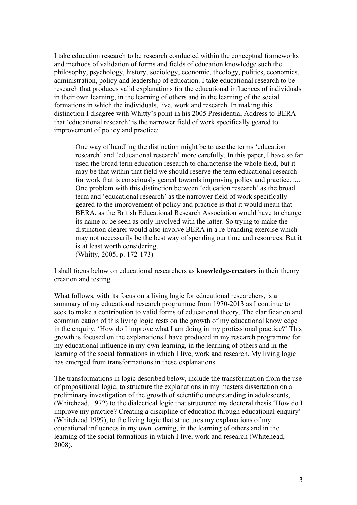I take education research to be research conducted within the conceptual frameworks and methods of validation of forms and fields of education knowledge such the philosophy, psychology, history, sociology, economic, theology, politics, economics, administration, policy and leadership of education. I take educational research to be research that produces valid explanations for the educational influences of individuals in their own learning, in the learning of others and in the learning of the social formations in which the individuals, live, work and research. In making this distinction I disagree with Whitty's point in his 2005 Presidential Address to BERA that 'educational research' is the narrower field of work specifically geared to improvement of policy and practice:

One way of handling the distinction might be to use the terms 'education research' and 'educational research' more carefully. In this paper, I have so far used the broad term education research to characterise the whole field, but it may be that within that field we should reserve the term educational research for work that is consciously geared towards improving policy and practice..... One problem with this distinction between 'education research' as the broad term and 'educational research' as the narrower field of work specifically geared to the improvement of policy and practice is that it would mean that BERA, as the British Educational Research Association would have to change its name or be seen as only involved with the latter. So trying to make the distinction clearer would also involve BERA in a re-branding exercise which may not necessarily be the best way of spending our time and resources. But it is at least worth considering. (Whitty, 2005, p. 172-173)

I shall focus below on educational researchers as **knowledge-creators** in their theory creation and testing.

What follows, with its focus on a living logic for educational researchers, is a summary of my educational research programme from 1970-2013 as I continue to seek to make a contribution to valid forms of educational theory. The clarification and communication of this living logic rests on the growth of my educational knowledge in the enquiry, 'How do I improve what I am doing in my professional practice?' This growth is focused on the explanations I have produced in my research programme for my educational influence in my own learning, in the learning of others and in the learning of the social formations in which I live, work and research. My living logic has emerged from transformations in these explanations.

The transformations in logic described below, include the transformation from the use of propositional logic, to structure the explanations in my masters dissertation on a preliminary investigation of the growth of scientific understanding in adolescents, (Whitehead, 1972) to the dialectical logic that structured my doctoral thesis 'How do I improve my practice? Creating a discipline of education through educational enquiry' (Whitehead 1999), to the living logic that structures my explanations of my educational influences in my own learning, in the learning of others and in the learning of the social formations in which I live, work and research (Whitehead, 2008).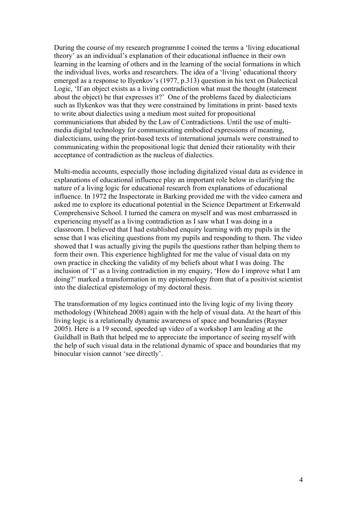During the course of my research programme I coined the terms a 'living educational theory' as an individual's explanation of their educational influence in their own learning in the learning of others and in the learning of the social formations in which the individual lives, works and researchers. The idea of a 'living' educational theory emerged as a response to Ilyenkov's (1977, p.313) question in his text on Dialectical Logic, 'If an object exists as a living contradiction what must the thought (statement about the object) be that expresses it?' One of the problems faced by dialecticians such as Ilykenkov was that they were constrained by limitations in print- based texts to write about dialectics using a medium most suited for propositional communiciations that abided by the Law of Contradictions. Until the use of multimedia digital technology for communicating embodied expressions of meaning, dialecticians, using the print-based texts of international journals were constrained to communicating within the propositional logic that denied their rationality with their acceptance of contradiction as the nucleus of dialectics.

Multi-media accounts, especially those including digitalized visual data as evidence in explanations of educational influence play an important role below in clarifying the nature of a living logic for educational research from explanations of educational influence. In 1972 the Inspectorate in Barking provided me with the video camera and asked me to explore its educational potential in the Science Department at Erkenwald Comprehensive School. I turned the camera on myself and was most embarrassed in experiencing myself as a living contradiction as I saw what I was doing in a classroom. I believed that I had established enquiry learning with my pupils in the sense that I was eliciting questions from my pupils and responding to them. The video showed that I was actually giving the pupils the questions rather than helping them to form their own. This experience highlighted for me the value of visual data on my own practice in checking the validity of my beliefs about what I was doing. The inclusion of 'I' as a living contradiction in my enquiry, 'How do I improve what I am doing?' marked a transformation in my epistemology from that of a positivist scientist into the dialectical epistemology of my doctoral thesis.

The transformation of my logics continued into the living logic of my living theory methodology (Whitehead 2008) again with the help of visual data. At the heart of this living logic is a relationally dynamic awareness of space and boundaries (Rayner 2005). Here is a 19 second, speeded up video of a workshop I am leading at the Guildhall in Bath that helped me to appreciate the importance of seeing myself with the help of such visual data in the relational dynamic of space and boundaries that my binocular vision cannot 'see directly'.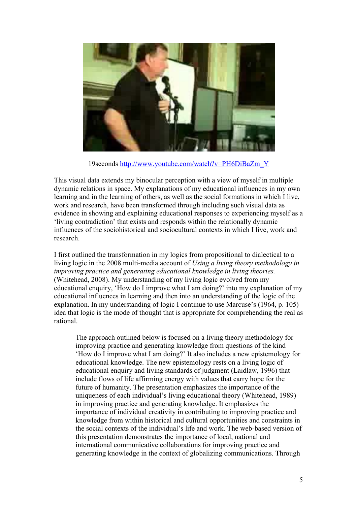

19seconds http://www.youtube.com/watch?v=PH6DiBaZm\_Y

This visual data extends my binocular perception with a view of myself in multiple dynamic relations in space. My explanations of my educational influences in my own learning and in the learning of others, as well as the social formations in which I live, work and research, have been transformed through including such visual data as evidence in showing and explaining educational responses to experiencing myself as a 'living contradiction' that exists and responds within the relationally dynamic influences of the sociohistorical and sociocultural contexts in which I live, work and research.

I first outlined the transformation in my logics from propositional to dialectical to a living logic in the 2008 multi-media account of *Using a living theory methodology in improving practice and generating educational knowledge in living theories.* (Whitehead, 2008). My understanding of my living logic evolved from my educational enquiry, 'How do I improve what I am doing?' into my explanation of my educational influences in learning and then into an understanding of the logic of the explanation. In my understanding of logic I continue to use Marcuse's (1964, p. 105) idea that logic is the mode of thought that is appropriate for comprehending the real as rational.

The approach outlined below is focused on a living theory methodology for improving practice and generating knowledge from questions of the kind 'How do I improve what I am doing?' It also includes a new epistemology for educational knowledge. The new epistemology rests on a living logic of educational enquiry and living standards of judgment (Laidlaw, 1996) that include flows of life affirming energy with values that carry hope for the future of humanity. The presentation emphasizes the importance of the uniqueness of each individual's living educational theory (Whitehead, 1989) in improving practice and generating knowledge. It emphasizes the importance of individual creativity in contributing to improving practice and knowledge from within historical and cultural opportunities and constraints in the social contexts of the individual's life and work. The web-based version of this presentation demonstrates the importance of local, national and international communicative collaborations for improving practice and generating knowledge in the context of globalizing communications. Through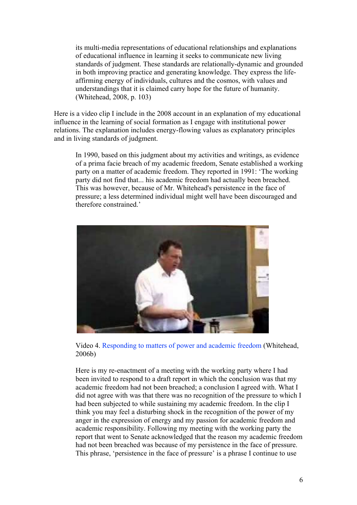its multi-media representations of educational relationships and explanations of educational influence in learning it seeks to communicate new living standards of judgment. These standards are relationally-dynamic and grounded in both improving practice and generating knowledge. They express the lifeaffirming energy of individuals, cultures and the cosmos, with values and understandings that it is claimed carry hope for the future of humanity. (Whitehead, 2008, p. 103)

Here is a video clip I include in the 2008 account in an explanation of my educational influence in the learning of social formation as I engage with institutional power relations. The explanation includes energy-flowing values as explanatory principles and in living standards of judgment.

In 1990, based on this judgment about my activities and writings, as evidence of a prima facie breach of my academic freedom, Senate established a working party on a matter of academic freedom. They reported in 1991: 'The working party did not find that... his academic freedom had actually been breached. This was however, because of Mr. Whitehead's persistence in the face of pressure; a less determined individual might well have been discouraged and therefore constrained.'



Video 4. Responding to matters of power and academic freedom (Whitehead, 2006b)

Here is my re-enactment of a meeting with the working party where I had been invited to respond to a draft report in which the conclusion was that my academic freedom had not been breached; a conclusion I agreed with. What I did not agree with was that there was no recognition of the pressure to which I had been subjected to while sustaining my academic freedom. In the clip I think you may feel a disturbing shock in the recognition of the power of my anger in the expression of energy and my passion for academic freedom and academic responsibility. Following my meeting with the working party the report that went to Senate acknowledged that the reason my academic freedom had not been breached was because of my persistence in the face of pressure. This phrase, 'persistence in the face of pressure' is a phrase I continue to use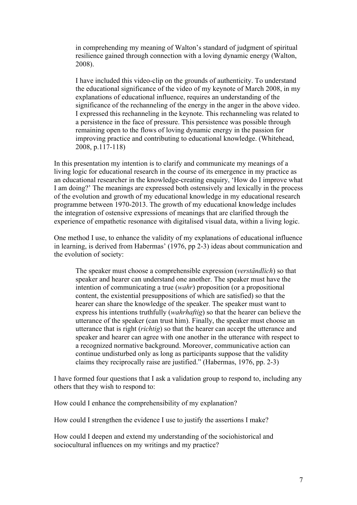in comprehending my meaning of Walton's standard of judgment of spiritual resilience gained through connection with a loving dynamic energy (Walton, 2008).

I have included this video-clip on the grounds of authenticity. To understand the educational significance of the video of my keynote of March 2008, in my explanations of educational influence, requires an understanding of the significance of the rechanneling of the energy in the anger in the above video. I expressed this rechanneling in the keynote. This rechanneling was related to a persistence in the face of pressure. This persistence was possible through remaining open to the flows of loving dynamic energy in the passion for improving practice and contributing to educational knowledge. (Whitehead, 2008, p.117-118)

In this presentation my intention is to clarify and communicate my meanings of a living logic for educational research in the course of its emergence in my practice as an educational researcher in the knowledge-creating enquiry, 'How do I improve what I am doing?' The meanings are expressed both ostensively and lexically in the process of the evolution and growth of my educational knowledge in my educational research programme between 1970-2013. The growth of my educational knowledge includes the integration of ostensive expressions of meanings that are clarified through the experience of empathetic resonance with digitalised visual data, within a living logic.

One method I use, to enhance the validity of my explanations of educational influence in learning, is derived from Habermas' (1976, pp 2-3) ideas about communication and the evolution of society:

The speaker must choose a comprehensible expression (*verständlich*) so that speaker and hearer can understand one another. The speaker must have the intention of communicating a true (*wahr*) proposition (or a propositional content, the existential presuppositions of which are satisfied) so that the hearer can share the knowledge of the speaker. The speaker must want to express his intentions truthfully (*wahrhaftig*) so that the hearer can believe the utterance of the speaker (can trust him). Finally, the speaker must choose an utterance that is right (*richtig*) so that the hearer can accept the utterance and speaker and hearer can agree with one another in the utterance with respect to a recognized normative background. Moreover, communicative action can continue undisturbed only as long as participants suppose that the validity claims they reciprocally raise are justified." (Habermas, 1976, pp. 2-3)

I have formed four questions that I ask a validation group to respond to, including any others that they wish to respond to:

How could I enhance the comprehensibility of my explanation?

How could I strengthen the evidence I use to justify the assertions I make?

How could I deepen and extend my understanding of the sociohistorical and sociocultural influences on my writings and my practice?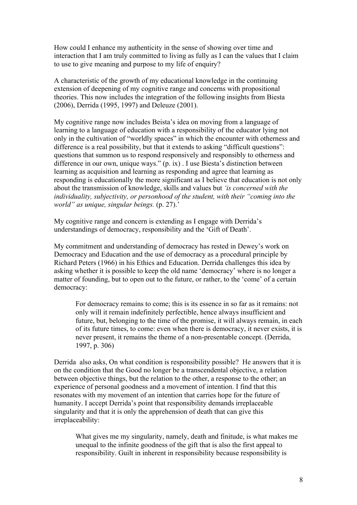How could I enhance my authenticity in the sense of showing over time and interaction that I am truly committed to living as fully as I can the values that I claim to use to give meaning and purpose to my life of enquiry?

A characteristic of the growth of my educational knowledge in the continuing extension of deepening of my cognitive range and concerns with propositional theories. This now includes the integration of the following insights from Biesta (2006), Derrida (1995, 1997) and Deleuze (2001).

My cognitive range now includes Beista's idea on moving from a language of learning to a language of education with a responsibility of the educator lying not only in the cultivation of "worldly spaces" in which the encounter with otherness and difference is a real possibility, but that it extends to asking "difficult questions": questions that summon us to respond responsively and responsibly to otherness and difference in our own, unique ways." (p. ix) . I use Biesta's distinction between learning as acquisition and learning as responding and agree that learning as responding is educationally the more significant as I believe that education is not only about the transmission of knowledge, skills and values but *'is concerned with the individuality, subjectivity, or personhood of the student, with their "coming into the world" as unique, singular beings.* (p. 27).'

My cognitive range and concern is extending as I engage with Derrida's understandings of democracy, responsibility and the 'Gift of Death'.

My commitment and understanding of democracy has rested in Dewey's work on Democracy and Education and the use of democracy as a procedural principle by Richard Peters (1966) in his Ethics and Education. Derrida challenges this idea by asking whether it is possible to keep the old name 'democracy' where is no longer a matter of founding, but to open out to the future, or rather, to the 'come' of a certain democracy:

For democracy remains to come; this is its essence in so far as it remains: not only will it remain indefinitely perfectible, hence always insufficient and future, but, belonging to the time of the promise, it will always remain, in each of its future times, to come: even when there is democracy, it never exists, it is never present, it remains the theme of a non-presentable concept. (Derrida, 1997, p. 306)

Derrida also asks, On what condition is responsibility possible? He answers that it is on the condition that the Good no longer be a transcendental objective, a relation between objective things, but the relation to the other, a response to the other; an experience of personal goodness and a movement of intention. I find that this resonates with my movement of an intention that carries hope for the future of humanity. I accept Derrida's point that responsibility demands irreplaceable singularity and that it is only the apprehension of death that can give this irreplaceability:

What gives me my singularity, namely, death and finitude, is what makes me unequal to the infinite goodness of the gift that is also the first appeal to responsibility. Guilt in inherent in responsibility because responsibility is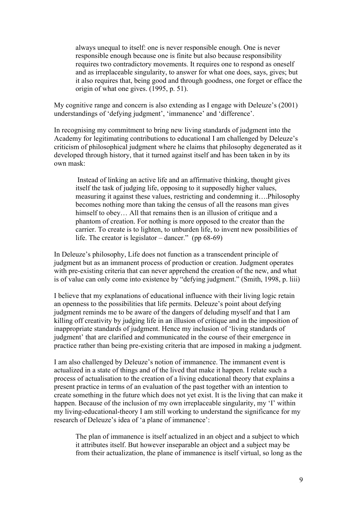always unequal to itself: one is never responsible enough. One is never responsible enough because one is finite but also because responsibility requires two contradictory movements. It requires one to respond as oneself and as irreplaceable singularity, to answer for what one does, says, gives; but it also requires that, being good and through goodness, one forget or efface the origin of what one gives. (1995, p. 51).

My cognitive range and concern is also extending as I engage with Deleuze's (2001) understandings of 'defying judgment', 'immanence' and 'difference'.

In recognising my commitment to bring new living standards of judgment into the Academy for legitimating contributions to educational I am challenged by Deleuze's criticism of philosophical judgment where he claims that philosophy degenerated as it developed through history, that it turned against itself and has been taken in by its own mask:

 Instead of linking an active life and an affirmative thinking, thought gives itself the task of judging life, opposing to it supposedly higher values, measuring it against these values, restricting and condemning it….Philosophy becomes nothing more than taking the census of all the reasons man gives himself to obey... All that remains then is an illusion of critique and a phantom of creation. For nothing is more opposed to the creator than the carrier. To create is to lighten, to unburden life, to invent new possibilities of life. The creator is legislator – dancer." (pp 68-69)

In Deleuze's philosophy, Life does not function as a transcendent principle of judgment but as an immanent process of production or creation. Judgment operates with pre-existing criteria that can never apprehend the creation of the new, and what is of value can only come into existence by "defying judgment." (Smith, 1998, p. liii)

I believe that my explanations of educational influence with their living logic retain an openness to the possibilities that life permits. Deleuze's point about defying judgment reminds me to be aware of the dangers of deluding myself and that I am killing off creativity by judging life in an illusion of critique and in the imposition of inappropriate standards of judgment. Hence my inclusion of 'living standards of judgment' that are clarified and communicated in the course of their emergence in practice rather than being pre-existing criteria that are imposed in making a judgment.

I am also challenged by Deleuze's notion of immanence. The immanent event is actualized in a state of things and of the lived that make it happen. I relate such a process of actualisation to the creation of a living educational theory that explains a present practice in terms of an evaluation of the past together with an intention to create something in the future which does not yet exist. It is the living that can make it happen. Because of the inclusion of my own irreplaceable singularity, my 'I' within my living-educational-theory I am still working to understand the significance for my research of Deleuze's idea of 'a plane of immanence':

The plan of immanence is itself actualized in an object and a subject to which it attributes itself. But however inseparable an object and a subject may be from their actualization, the plane of immanence is itself virtual, so long as the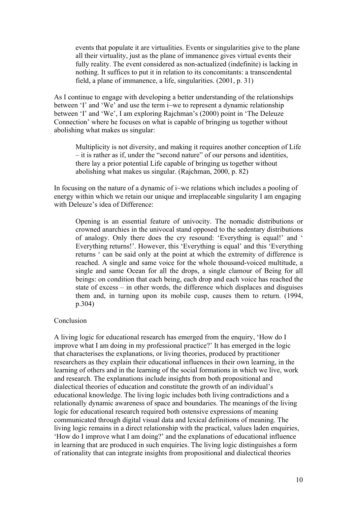events that populate it are virtualities. Events or singularities give to the plane all their virtuality, just as the plane of immanence gives virtual events their fully reality. The event considered as non-actualized (indefinite) is lacking in nothing. It suffices to put it in relation to its concomitants: a transcendental field, a plane of immanence, a life, singularities. (2001, p. 31)

As I continue to engage with developing a better understanding of the relationships between 'I' and 'We' and use the term i~we to represent a dynamic relationship between 'I' and 'We', I am exploring Rajchman's (2000) point in 'The Deleuze Connection' where he focuses on what is capable of bringing us together without abolishing what makes us singular:

Multiplicity is not diversity, and making it requires another conception of Life – it is rather as if, under the "second nature" of our persons and identities, there lay a prior potential Life capable of bringing us together without abolishing what makes us singular. (Rajchman, 2000, p. 82)

In focusing on the nature of a dynamic of  $\mathrm{i}$ ~we relations which includes a pooling of energy within which we retain our unique and irreplaceable singularity I am engaging with Deleuze's idea of Difference:

Opening is an essential feature of univocity. The nomadic distributions or crowned anarchies in the univocal stand opposed to the sedentary distributions of analogy. Only there does the cry resound: 'Everything is equal!' and ' Everything returns!'. However, this 'Everything is equal' and this 'Everything returns ' can be said only at the point at which the extremity of difference is reached. A single and same voice for the whole thousand-voiced multitude, a single and same Ocean for all the drops, a single clamour of Being for all beings: on condition that each being, each drop and each voice has reached the state of excess – in other words, the difference which displaces and disguises them and, in turning upon its mobile cusp, causes them to return. (1994, p.304)

#### Conclusion

A living logic for educational research has emerged from the enquiry, 'How do I improve what I am doing in my professional practice?' It has emerged in the logic that characterises the explanations, or living theories, produced by practitioner researchers as they explain their educational influences in their own learning, in the learning of others and in the learning of the social formations in which we live, work and research. The explanations include insights from both propositional and dialectical theories of education and constitute the growth of an individual's educational knowledge. The living logic includes both living contradictions and a relationally dynamic awareness of space and boundaries. The meanings of the living logic for educational research required both ostensive expressions of meaning communicated through digital visual data and lexical definitions of meaning. The living logic remains in a direct relationship with the practical, values laden enquiries, 'How do I improve what I am doing?' and the explanations of educational influence in learning that are produced in such enquiries. The living logic distinguishes a form of rationality that can integrate insights from propositional and dialectical theories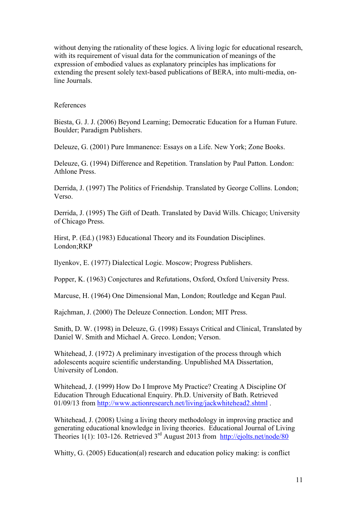without denying the rationality of these logics. A living logic for educational research, with its requirement of visual data for the communication of meanings of the expression of embodied values as explanatory principles has implications for extending the present solely text-based publications of BERA, into multi-media, online Journals.

### References

Biesta, G. J. J. (2006) Beyond Learning; Democratic Education for a Human Future. Boulder; Paradigm Publishers.

Deleuze, G. (2001) Pure Immanence: Essays on a Life. New York; Zone Books.

Deleuze, G. (1994) Difference and Repetition. Translation by Paul Patton. London: Athlone Press.

Derrida, J. (1997) The Politics of Friendship. Translated by George Collins. London; Verso.

Derrida, J. (1995) The Gift of Death. Translated by David Wills. Chicago; University of Chicago Press.

Hirst, P. (Ed.) (1983) Educational Theory and its Foundation Disciplines. London;RKP

Ilyenkov, E. (1977) Dialectical Logic. Moscow; Progress Publishers.

Popper, K. (1963) Conjectures and Refutations, Oxford, Oxford University Press.

Marcuse, H. (1964) One Dimensional Man, London; Routledge and Kegan Paul.

Rajchman, J. (2000) The Deleuze Connection. London; MIT Press.

Smith, D. W. (1998) in Deleuze, G. (1998) Essays Critical and Clinical, Translated by Daniel W. Smith and Michael A. Greco. London; Verson.

Whitehead, J. (1972) A preliminary investigation of the process through which adolescents acquire scientific understanding. Unpublished MA Dissertation, University of London.

Whitehead, J. (1999) How Do I Improve My Practice? Creating A Discipline Of Education Through Educational Enquiry. Ph.D. University of Bath. Retrieved 01/09/13 from http://www.actionresearch.net/living/jackwhitehead2.shtml .

Whitehead, J. (2008) Using a living theory methodology in improving practice and generating educational knowledge in living theories. Educational Journal of Living Theories 1(1): 103-126. Retrieved 3<sup>rd</sup> August 2013 from http://ejolts.net/node/80

Whitty, G. (2005) Education(al) research and education policy making: is conflict